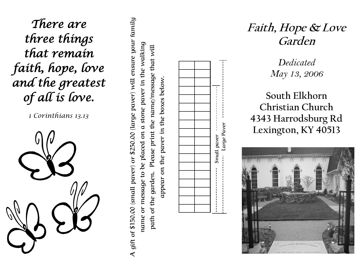*There are three things that remain faith, hope, love and the greatest of all is love.* 

*1 Corinthians 13.13*

**A gift of \$150.00 (small paver) or \$250.00 (large paver) will ensure your family**  A gift of \$150.00 (small paver) or \$250.00 (large paver) will ensure your family **name or message to be placed on a stone paver in the walking**  stone paver in the walking **path of the garden. Please print the name/message that will**  Please print the name/message that will **appear on the paver in the boxes below.** appear on the paver in the boxes below. name or message to be placed on a path of the garden.



**Faith, Hope & Love Garden**

> *Dedicated May 13, 2006*

**South Elkhorn Christian Church 4343 Harrodsburg Rd Lexington, KY 40513**